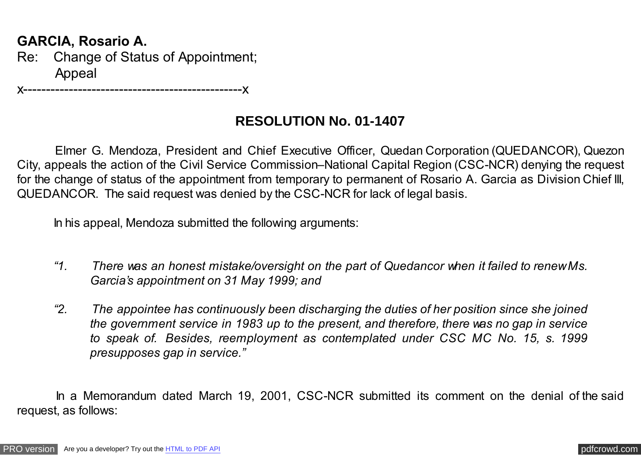## **GARCIA, Rosario A.**

Re: Change of Status of Appointment; Appeal

x------------------------------------------------x

## **RESOLUTION No. 01-1407**

Elmer G. Mendoza, President and Chief Executive Officer, Quedan Corporation (QUEDANCOR), Quezon City, appeals the action of the Civil Service Commission–National Capital Region (CSC-NCR) denying the request for the change of status of the appointment from temporary to permanent of Rosario A. Garcia as Division Chief III, QUEDANCOR. The said request was denied by the CSC-NCR for lack of legal basis.

In his appeal, Mendoza submitted the following arguments:

- *"1. There was an honest mistake/oversight on the part of Quedancor when it failed to renew Ms. Garcia's appointment on 31 May 1999; and*
- *"2. The appointee has continuously been discharging the duties of her position since she joined the government service in 1983 up to the present, and therefore, there was no gap in service to speak of. Besides, reemployment as contemplated under CSC MC No. 15, s. 1999 presupposes gap in service."*

 In a Memorandum dated March 19, 2001, CSC-NCR submitted its comment on the denial of the said request, as follows: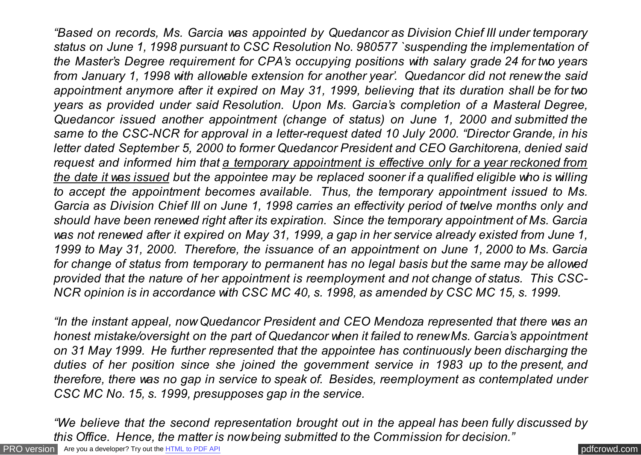*"Based on records, Ms. Garcia was appointed by Quedancor as Division Chief III under temporary status on June 1, 1998 pursuant to CSC Resolution No. 980577 `suspending the implementation of the Master's Degree requirement for CPA's occupying positions with salary grade 24 for two years from January 1, 1998 with allowable extension for another year'. Quedancor did not renew the said appointment anymore after it expired on May 31, 1999, believing that its duration shall be for two years as provided under said Resolution. Upon Ms. Garcia's completion of a Masteral Degree, Quedancor issued another appointment (change of status) on June 1, 2000 and submitted the same to the CSC-NCR for approval in a letter-request dated 10 July 2000. "Director Grande, in his letter dated September 5, 2000 to former Quedancor President and CEO Garchitorena, denied said request and informed him that a temporary appointment is effective only for a year reckoned from the date it was issued but the appointee may be replaced sooner if a qualified eligible who is willing to accept the appointment becomes available. Thus, the temporary appointment issued to Ms. Garcia as Division Chief III on June 1, 1998 carries an effectivity period of twelve months only and should have been renewed right after its expiration. Since the temporary appointment of Ms. Garcia was not renewed after it expired on May 31, 1999, a gap in her service already existed from June 1, 1999 to May 31, 2000. Therefore, the issuance of an appointment on June 1, 2000 to Ms. Garcia for change of status from temporary to permanent has no legal basis but the same may be allowed provided that the nature of her appointment is reemployment and not change of status. This CSC-NCR opinion is in accordance with CSC MC 40, s. 1998, as amended by CSC MC 15, s. 1999.*

*"In the instant appeal, now Quedancor President and CEO Mendoza represented that there was an honest mistake/oversight on the part of Quedancor when it failed to renew Ms. Garcia's appointment on 31 May 1999. He further represented that the appointee has continuously been discharging the duties of her position since she joined the government service in 1983 up to the present, and therefore, there was no gap in service to speak of. Besides, reemployment as contemplated under CSC MC No. 15, s. 1999, presupposes gap in the service.*

*"We believe that the second representation brought out in the appeal has been fully discussed by this Office. Hence, the matter is now being submitted to the Commission for decision."*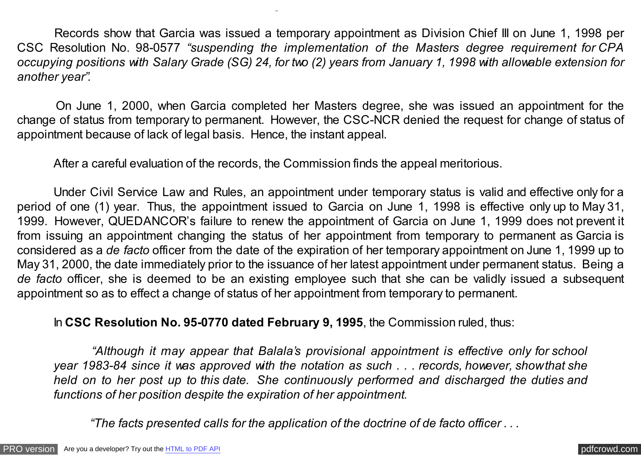Records show that Garcia was issued a temporary appointment as Division Chief III on June 1, 1998 per CSC Resolution No. 98-0577 *"suspending the implementation of the Masters degree requirement for CPA occupying positions with Salary Grade (SG) 24, for two (2) years from January 1, 1998 with allowable extension for another year".*

 On June 1, 2000, when Garcia completed her Masters degree, she was issued an appointment for the change of status from temporary to permanent. However, the CSC-NCR denied the request for change of status of appointment because of lack of legal basis. Hence, the instant appeal.

After a careful evaluation of the records, the Commission finds the appeal meritorious.

*this Office. Hence, the matter is now being submitted to the Commission for decision."*

Under Civil Service Law and Rules, an appointment under temporary status is valid and effective only for a period of one (1) year. Thus, the appointment issued to Garcia on June 1, 1998 is effective only up to May 31, 1999. However, QUEDANCOR's failure to renew the appointment of Garcia on June 1, 1999 does not prevent it from issuing an appointment changing the status of her appointment from temporary to permanent as Garcia is considered as a *de facto* officer from the date of the expiration of her temporary appointment on June 1, 1999 up to May 31, 2000, the date immediately prior to the issuance of her latest appointment under permanent status. Being a *de facto* officer, she is deemed to be an existing employee such that she can be validly issued a subsequent appointment so as to effect a change of status of her appointment from temporary to permanent.

In **CSC Resolution No. 95-0770 dated February 9, 1995**, the Commission ruled, thus:

 *"Although it may appear that Balala's provisional appointment is effective only for school year 1983-84 since it was approved with the notation as such . . . records, however, show that she held on to her post up to this date. She continuously performed and discharged the duties and functions of her position despite the expiration of her appointment.*

 *"The facts presented calls for the application of the doctrine of de facto officer . . .*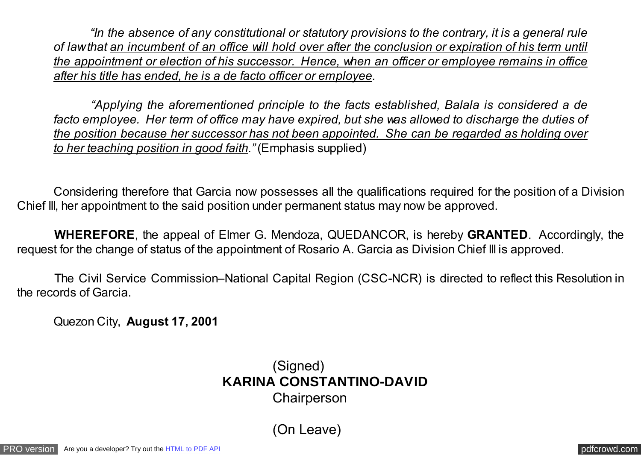*"In the absence of any constitutional or statutory provisions to the contrary, it is a general rule of law that an incumbent of an office will hold over after the conclusion or expiration of his term until the appointment or election of his successor. Hence, when an officer or employee remains in office after his title has ended, he is a de facto officer or employee.*

 *"Applying the aforementioned principle to the facts established, Balala is considered a de facto employee. Her term of office may have expired, but she was allowed to discharge the duties of the position because her successor has not been appointed. She can be regarded as holding over to her teaching position in good faith."* (Emphasis supplied)

 Considering therefore that Garcia now possesses all the qualifications required for the position of a Division Chief III, her appointment to the said position under permanent status may now be approved.

 **WHEREFORE**, the appeal of Elmer G. Mendoza, QUEDANCOR, is hereby **GRANTED**. Accordingly, the request for the change of status of the appointment of Rosario A. Garcia as Division Chief III is approved.

The Civil Service Commission–National Capital Region (CSC-NCR) is directed to reflect this Resolution in the records of Garcia.

Quezon City, **August 17, 2001**

(Signed)  **KARINA CONSTANTINO-DAVID** Chairperson

(On Leave)